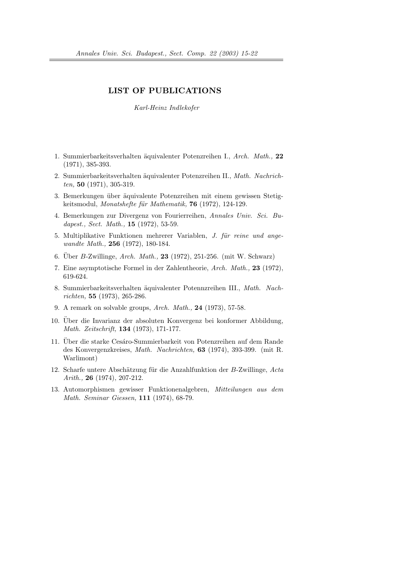## LIST OF PUBLICATIONS

Karl-Heinz Indlekofer

- 1. Summierbarkeitsverhalten äquivalenter Potenzreihen I., Arch. Math., 22 (1971), 385-393.
- 2. Summierbarkeitsverhalten äquivalenter Potenzreihen II., Math. Nachrichten, 50 $(1971)$ , 305-319.
- 3. Bemerkungen über äquivalente Potenzreihen mit einem gewissen Stetigkeitsmodul, Monatshefte für Mathematik,  $76$  (1972), 124-129.
- 4. Bemerkungen zur Divergenz von Fourierreihen, Annales Univ. Sci. Budapest., Sect. Math., **15** (1972), 53-59.
- 5. Multiplikative Funktionen mehrerer Variablen, *J. für reine und ange*wandte Math., **256** (1972), 180-184.
- 6. Uber B-Zwillinge, Arch. Math., 23 (1972), 251-256. (mit W. Schwarz)
- 7. Eine asymptotische Formel in der Zahlentheorie, Arch. Math., 23 (1972), 619-624.
- 8. Summierbarkeitsverhalten ¨aquivalenter Potennzreihen III., Math. Nachrichten, 55 (1973), 265-286.
- 9. A remark on solvable groups, Arch. Math., 24 (1973), 57-58.
- 10. Über die Invarianz der absoluten Konvergenz bei konformer Abbildung, Math. Zeitschrift, 134 (1973), 171-177.
- 11. Über die starke Cesáro-Summierbarkeit von Potenzreihen auf dem Rande des Konvergenzkreises, Math. Nachrichten, 63 (1974), 393-399. (mit R. Warlimont)
- 12. Scharfe untere Abschätzung für die Anzahlfunktion der B-Zwillinge, Acta Arith., **26** (1974), 207-212.
- 13. Automorphismen gewisser Funktionenalgebren, Mitteilungen aus dem Math. Seminar Giessen, 111 (1974), 68-79.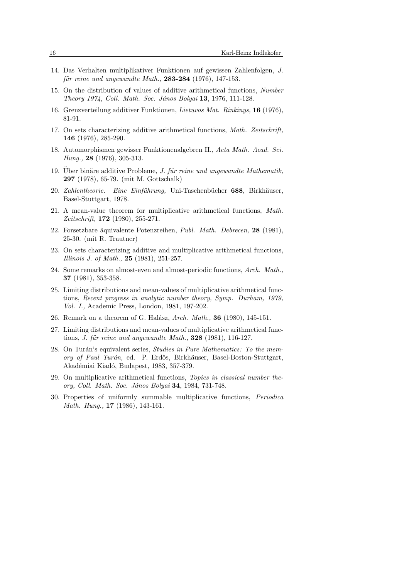- 14. Das Verhalten multiplikativer Funktionen auf gewissen Zahlenfolgen, J.  $f\ddot{u}r$  reine und angewandte Math., 283-284 (1976), 147-153.
- 15. On the distribution of values of additive arithmetical functions, Number Theory 1974, Coll. Math. Soc. János Bolyai 13, 1976, 111-128.
- 16. Grenzverteilung additiver Funktionen, Lietuvos Mat. Rinkinys, 16 (1976), 81-91.
- 17. On sets characterizing additive arithmetical functions, Math. Zeitschrift, 146 (1976), 285-290.
- 18. Automorphismen gewisser Funktionenalgebren II., Acta Math. Acad. Sci. Hung., 28 (1976), 305-313.
- 19. Uber binäre additive Probleme, J. für reine und angewandte Mathematik, 297 (1978), 65-79. (mit M. Gottschalk)
- 20. Zahlentheorie. Eine Einführung, Uni-Taschenbücher 688, Birkhäuser, Basel-Stuttgart, 1978.
- 21. A mean-value theorem for multiplicative arithmetical functions, Math. Zeitschrift, 172 (1980), 255-271.
- 22. Forsetzbare äquivalente Potenzreihen, *Publ. Math. Debrecen*, **28** (1981), 25-30. (mit R. Trautner)
- 23. On sets characterizing additive and multiplicative arithmetical functions, Illinois J. of Math., 25 (1981), 251-257.
- 24. Some remarks on almost-even and almost-periodic functions, Arch. Math., 37 (1981), 353-358.
- 25. Limiting distributions and mean-values of multiplicative arithmetical functions, Recent progress in analytic number theory, Symp. Durham, 1979, Vol. I., Academic Press, London, 1981, 197-202.
- 26. Remark on a theorem of G. Halász, Arch. Math., **36** (1980), 145-151.
- 27. Limiting distributions and mean-values of multiplicative arithmetical functions, J. für reine und angewandte Math.,  $328$  (1981), 116-127.
- 28. On Turán's equivalent series, *Studies in Pure Mathematics: To the mem*ory of Paul Turán, ed. P. Erdős, Birkhäuser, Basel-Boston-Stuttgart, Akadémiai Kiadó, Budapest, 1983, 357-379.
- 29. On multiplicative arithmetical functions, Topics in classical number theory, Coll. Math. Soc. János Bolyai 34, 1984, 731-748.
- 30. Properties of uniformly summable multiplicative functions, Periodica Math. Hung., 17 (1986), 143-161.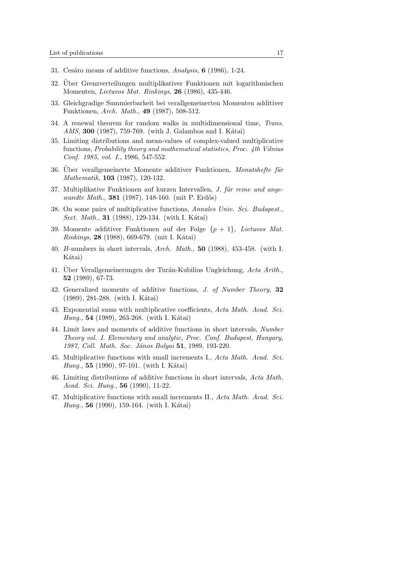- 31. Cesáro means of additive functions, Analysis,  $6$  (1986), 1-24.
- 32. Uber Grenzverteilungen multiplikativer Funktionen mit logarithmischen ¨ Momenten, Lietuvos Mat. Rinkinys, 26 (1986), 435-446.
- 33. Gleichgradige Summierbarkeit bei verallgemeinerten Momenten additiver Funktionen, Arch. Math., 49 (1987), 508-512.
- 34. A renewal theorem for random walks in multidimensional time, Trans.  $AMS, 300 (1987), 759-769.$  (with J. Galambos and I. Kátai)
- 35. Limiting distributions and mean-values of complex-valued multiplicative functions, Probability theory and mathematical statistics, Proc. 4th Vilnius Conf. 1985, vol. I., 1986, 547-552.
- 36. Uber verallgemeinerte Momente additiver Funktionen, Monatshefte für Mathematik, 103 (1987), 120-132.
- 37. Multiplikative Funktionen auf kurzen Intervallen, J. für reine und angewandte Math., **381** (1987), 148-160. (mit P. Erdős)
- 38. On some pairs of multiplicative functions, Annales Univ. Sci. Budapest., *Sect. Math.*, **31** (1988), 129-134. (with I. Kátai)
- 39. Momente additiver Funktionen auf der Folge  $\{p+1\}$ , Lietuvos Mat.  $Rinking, 28 (1988), 669-679. (mit I. Kátai)$
- 40. B-numbers in short intervals, Arch. Math., 50 (1988), 453-458. (with I. Kátai)
- 41. Uber Verallgemeinerungen der Turán-Kubilius Ungleichung, Acta Arith., 52 (1989), 67-73.
- 42. Generalized moments of additive functions, J. of Number Theory, 32  $(1989)$ , 281-288. (with I. Kátai)
- 43. Exponential sums with multiplicative coefficients, Acta Math. Acad. Sci. *Hung.*, **54** (1989), 263-268. (with I. Kátai)
- 44. Limit laws and moments of additive functions in short intervals, Number Theory vol. I. Elementary and analytic, Proc. Conf. Budapest, Hungary, 1987, Coll. Math. Soc. János Bolyai **51**, 1989, 193-220.
- 45. Multiplicative functions with small increments I., Acta Math. Acad. Sci. *Hung.*, **55** (1990), 97-101. (with I. Kátai)
- 46. Limiting distributions of additive functions in short intervals, Acta Math. Acad. Sci. Hung., 56 (1990), 11-22.
- 47. Multiplicative functions with small increments II., Acta Math. Acad. Sci. *Hung.*, **56** (1990), 159-164. (with I. Kátai)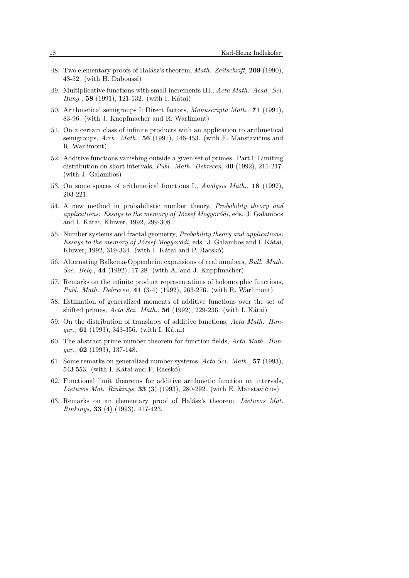- 48. Two elementary proofs of Halász's theorem, *Math. Zeitschrift*, **209** (1990), 43-52. (with H. Daboussi)
- 49. Multiplicative functions with small increments III., Acta Math. Acad. Sci. *Hung.*, **58** (1991), 121-132. (with I. Kátai)
- 50. Arithmetical semigroups I: Direct factors, Manuscripta Math., 71 (1991), 83-96. (with J. Knopfmacher and R. Warlimont)
- 51. On a certain class of infinite products with an application to arithmetical semigroups, Arch. Math.,  $56$  (1991), 446-453. (with E. Manstavičius and R. Warlimont)
- 52. Additive functions vanishing outside a given set of primes. Part I: Limiting distribution on short intervals, Publ. Math. Debrecen, 40 (1992), 211-217. (with J. Galambos)
- 53. On some spaces of arithmetical functions I., Analysis Math., 18 (1992), 203-221.
- 54. A new method in probabilistic number theory, Probability theory and applications: Essays to the memory of József Mogyoródi, eds. J. Galambos and I. Kátai, Kluwer, 1992, 299-308.
- 55. Number systems and fractal geometry, Probability theory and applications: Essays to the memory of József Mogyoródi, eds. J. Galambos and I. Kátai, Kluwer, 1992, 319-334. (with I. Kátai and P. Racskó)
- 56. Alternating Balkema-Oppenheim expansions of real numbers, Bull. Math. Soc. Belg., 44 (1992), 17-28. (with A. and J. Knppfmacher)
- 57. Remarks on the infinite product representations of holomorphic functions, Publ. Math. Debrecen, 41 (3-4) (1992), 263-276. (with R. Warlimont)
- 58. Estimation of generalized moments of additive functions over the set of shifted primes,  $Acta Sci. Math., 56 (1992), 229-236.$  (with I. Kátai)
- 59. On the distribution of translates of additive functions, Acta Math. Hun*gar.*, **61** (1993), 343-356. (with I. Kátai)
- 60. The abstract prime number theorem for function fields, Acta Math. Hun $gar., 62 (1993), 137-148.$
- 61. Some remarks on generalized number systems, Acta Sci. Math., 57 (1993),  $543-553$ . (with I. Kátai and P. Racskó)
- 62. Functional limit theorems for additive arithmetic function on intervals, Lietuvos Mat. Rinkinys, 33 (3) (1993), 280-292. (with E. Manstavičius)
- 63. Remarks on an elementary proof of Halász's theorem, *Lietuvos Mat.* Rinkinys, 33 (4) (1993), 417-423.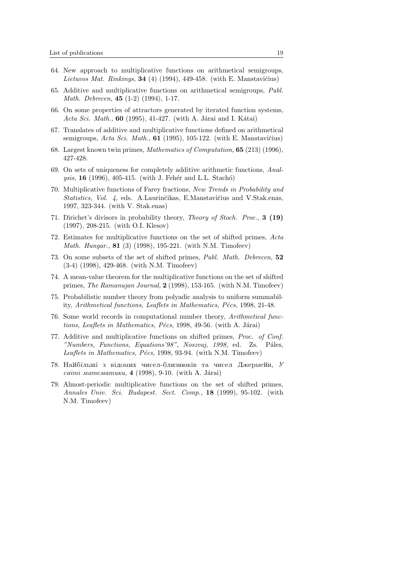- 64. New approach to multiplicative functions on arithmetical semigroups, Lietuvos Mat. Rinkinys, 34 (4) (1994), 449-458. (with E. Manstavičius)
- 65. Additive and multiplicative functions on arithmetical semigroups,  $Publ.$ Math. Debrecen, 45 (1-2) (1994), 1-17.
- 66. On some properties of attractors generated by iterated function systems, Acta Sci. Math., 60 (1995), 41-427. (with A. Járai and I. Kátai)
- 67. Translates of additive and multiplicative functions defined on arithmetical semigroups, Acta Sci. Math.,  $61$  (1995), 105-122. (with E. Manstavičius)
- 68. Largest known twin primes, Mathematics of Computation, 65 (213) (1996), 427-428.
- 69. On sets of uniqueness for completely additive arithmetic functions, Anal*ysis*, **16** (1996), 405-415. (with J. Fehér and L.L. Stachó)
- 70. Multiplicative functions of Farey fractions, New Trends in Probability and Statistics, Vol. 4, eds. A.Laurinčikas, E.Manstavičius and V.Stak.enas, 1997, 323-344. (with V. Stak.enas)
- 71. Dirichet's divisors in probability theory, Theory of Stoch. Proc., 3 (19) (1997), 208-215. (with O.I. Klesov)
- 72. Estimates for multiplicative functions on the set of shifted primes, Acta Math. Hungar., 81 (3) (1998), 195-221. (with N.M. Timofeev)
- 73. On some subsets of the set of shifted primes, Publ. Math. Debrecen, 52 (3-4) (1998), 429-468. (with N.M. Timofeev)
- 74. A mean-value theorem for the multiplicative functions on the set of shifted primes, *The Ramanujan Journal*,  $2(1998)$ , 153-165. (with N.M. Timofeev)
- 75. Probabilistic number theory from polyadic analysis to uniform summability, Arithmetical functions, Leaflets in Mathematics, P $\acute{e}$ cs, 1998, 21-48.
- 76. Some world records in computational number theory, Arithmetical functions, Leaflets in Mathematics, Pécs, 1998, 49-56. (with A. Járai)
- 77. Additive and multiplicative functions on shifted primes, Proc. of Conf. "Numbers, Functions, Equations'98", Noszvaj, 1998, ed. Zs. Páles, Leaflets in Mathematics, Pécs, 1998, 93-94. (with N.M. Timofeev)
- 78. Найбільші з відомих чисел-близнюків та чисел Джермейн,  $V$  $ceimi$  математики, 4 (1998), 9-10. (with A. Járai)
- 79. Almost-periodic multiplicative functions on the set of shifted primes, Annales Univ. Sci. Budapest. Sect. Comp., 18 (1999), 95-102. (with N.M. Timofeev)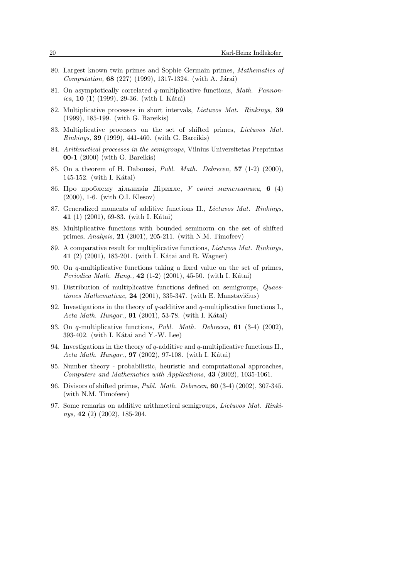- 80. Largest known twin primes and Sophie Germain primes, Mathematics of  $Computation, 68 (227) (1999), 1317-1324.$  (with A. Járai)
- 81. On asymptotically correlated q-multiplicative functions, Math. Pannon*ica*, **10** (1) (1999), 29-36. (with I. Kátai)
- 82. Multiplicative processes in short intervals, Lietuvos Mat. Rinkinys, 39 (1999), 185-199. (with G. Bareikis)
- 83. Multiplicative processes on the set of shifted primes, Lietuvos Mat. Rinkinys, 39 (1999), 441-460. (with G. Bareikis)
- 84. Arithmetical processes in the semigroups, Vilnius Universitetas Preprintas 00-1 (2000) (with G. Bareikis)
- 85. On a theorem of H. Daboussi, *Publ. Math. Debrecen*, **57**  $(1-2)$   $(2000)$ ,  $145-152.$  (with I. Kátai)
- 86. Про проблему дільників Дірихле, У світі математики, 6 (4) (2000), 1-6. (with O.I. Klesov)
- 87. Generalized moments of additive functions II., Lietuvos Mat. Rinkinys, 41 (1) (2001), 69-83. (with I. Kátai)
- 88. Multiplicative functions with bounded seminorm on the set of shifted primes, Analysis, 21 (2001), 205-211. (with N.M. Timofeev)
- 89. A comparative result for multiplicative functions, Lietuvos Mat. Rinkinys, 41 (2) (2001), 183-201. (with I. Kátai and R. Wagner)
- 90. On q-multiplicative functions taking a fixed value on the set of primes, *Periodica Math. Hung.*,  $42$  (1-2) (2001), 45-50. (with I. Kátai)
- 91. Distribution of multiplicative functions defined on semigroups, Quaestiones Mathematicae,  $24$  (2001), 335-347. (with E. Manstavičius)
- 92. Investigations in the theory of q-additive and q-multiplicative functions I., Acta Math. Hungar.,  $91$  (2001), 53-78. (with I. Kátai)
- 93. On q-multiplicative functions, *Publ. Math. Debrecen*, **61** (3-4) (2002),  $393-402.$  (with I. Kátai and Y.-W. Lee)
- 94. Investigations in the theory of q-additive and q-multiplicative functions II., Acta Math. Hungar., **97** (2002), 97-108. (with I. Kátai)
- 95. Number theory probabilistic, heuristic and computational approaches, Computers and Mathematics with Applications, 43 (2002), 1035-1061.
- 96. Divisors of shifted primes, Publ. Math. Debrecen, 60 (3-4) (2002), 307-345. (with N.M. Timofeev)
- 97. Some remarks on additive arithmetical semigroups, Lietuvos Mat. Rinkinys, 42 (2) (2002), 185-204.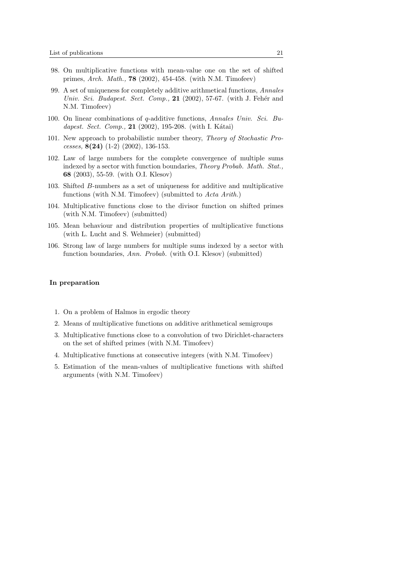- 98. On multiplicative functions with mean-value one on the set of shifted primes, Arch. Math., 78 (2002), 454-458. (with N.M. Timofeev)
- 99. A set of uniqueness for completely additive arithmetical functions, Annales Univ. Sci. Budapest. Sect. Comp.,  $21$  (2002), 57-67. (with J. Fehér and N.M. Timofeev)
- 100. On linear combinations of q-additive functions, Annales Univ. Sci. Budapest. Sect. Comp.,  $21$  (2002), 195-208. (with I. Kátai)
- 101. New approach to probabilistic number theory, Theory of Stochastic Processes,  $8(24)$  (1-2) (2002), 136-153.
- 102. Law of large numbers for the complete convergence of multiple sums indexed by a sector with function boundaries, Theory Probab. Math. Stat., 68 (2003), 55-59. (with O.I. Klesov)
- 103. Shifted B-numbers as a set of uniqueness for additive and multiplicative functions (with N.M. Timofeev) (submitted to Acta Arith.)
- 104. Multiplicative functions close to the divisor function on shifted primes (with N.M. Timofeev) (submitted)
- 105. Mean behaviour and distribution properties of multiplicative functions (with L. Lucht and S. Wehmeier) (submitted)
- 106. Strong law of large numbers for multiple sums indexed by a sector with function boundaries, Ann. Probab. (with O.I. Klesov) (submitted)

## In preparation

- 1. On a problem of Halmos in ergodic theory
- 2. Means of multiplicative functions on additive arithmetical semigroups
- 3. Multiplicative functions close to a convolution of two Dirichlet-characters on the set of shifted primes (with N.M. Timofeev)
- 4. Multiplicative functions at consecutive integers (with N.M. Timofeev)
- 5. Estimation of the mean-values of multiplicative functions with shifted arguments (with N.M. Timofeev)